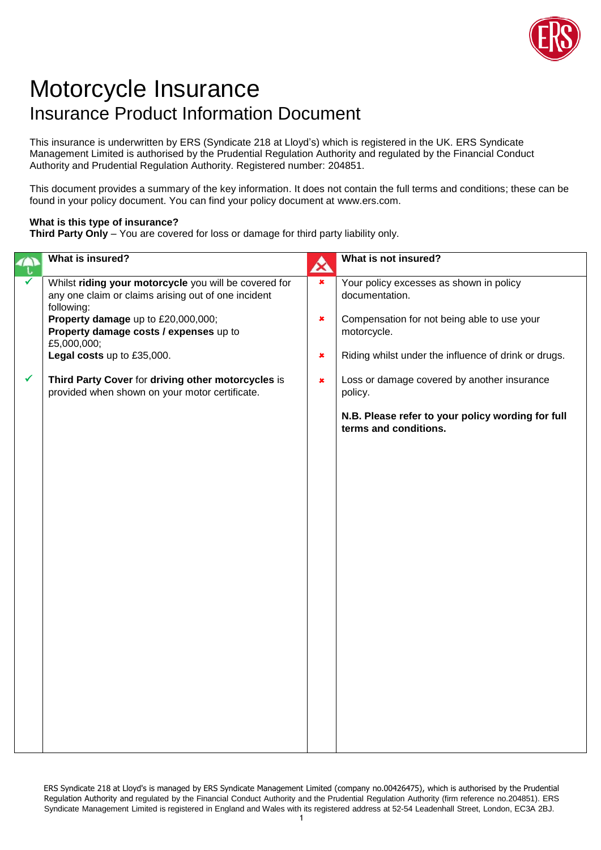

## Motorcycle Insurance Insurance Product Information Document

This insurance is underwritten by ERS (Syndicate 218 at Lloyd's) which is registered in the UK. ERS Syndicate Management Limited is authorised by the Prudential Regulation Authority and regulated by the Financial Conduct Authority and Prudential Regulation Authority. Registered number: 204851.

This document provides a summary of the key information. It does not contain the full terms and conditions; these can be found in your policy document. You can find your policy document at www.ers.com.

## **What is this type of insurance?**

**Third Party Only** – You are covered for loss or damage for third party liability only.

|   | What is insured?                                                                                                                                                                                           | $\boldsymbol{\mathcal{L}}$ | What is not insured?                                                                                                    |
|---|------------------------------------------------------------------------------------------------------------------------------------------------------------------------------------------------------------|----------------------------|-------------------------------------------------------------------------------------------------------------------------|
|   | Whilst riding your motorcycle you will be covered for<br>any one claim or claims arising out of one incident<br>following:<br>Property damage up to £20,000,000;<br>Property damage costs / expenses up to | $\pmb{\times}$<br>×        | Your policy excesses as shown in policy<br>documentation.<br>Compensation for not being able to use your<br>motorcycle. |
|   | £5,000,000;<br>Legal costs up to £35,000.                                                                                                                                                                  | ×                          | Riding whilst under the influence of drink or drugs.                                                                    |
| ✓ | Third Party Cover for driving other motorcycles is<br>provided when shown on your motor certificate.                                                                                                       | $\pmb{\times}$             | Loss or damage covered by another insurance<br>policy.                                                                  |
|   |                                                                                                                                                                                                            |                            | N.B. Please refer to your policy wording for full<br>terms and conditions.                                              |
|   |                                                                                                                                                                                                            |                            |                                                                                                                         |
|   |                                                                                                                                                                                                            |                            |                                                                                                                         |
|   |                                                                                                                                                                                                            |                            |                                                                                                                         |
|   |                                                                                                                                                                                                            |                            |                                                                                                                         |
|   |                                                                                                                                                                                                            |                            |                                                                                                                         |
|   |                                                                                                                                                                                                            |                            |                                                                                                                         |
|   |                                                                                                                                                                                                            |                            |                                                                                                                         |
|   |                                                                                                                                                                                                            |                            |                                                                                                                         |

ERS Syndicate 218 at Lloyd's is managed by ERS Syndicate Management Limited (company no.00426475), which is authorised by the Prudential Regulation Authority and regulated by the Financial Conduct Authority and the Prudential Regulation Authority (firm reference no.204851). ERS Syndicate Management Limited is registered in England and Wales with its registered address at 52-54 Leadenhall Street, London, EC3A 2BJ.